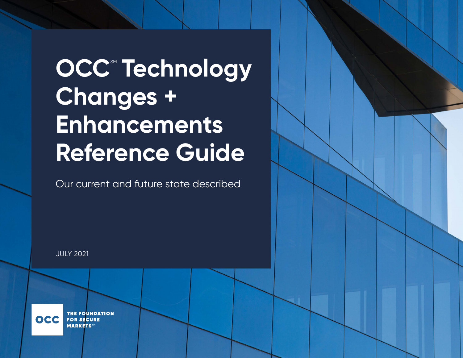# **OCC<sup>®</sup> Technology Changes + Enhancements Reference Guide**

Our current and future state described

**THE FOUNDATION** OCC **FOR SECURE MARKETS** 

JULY 2021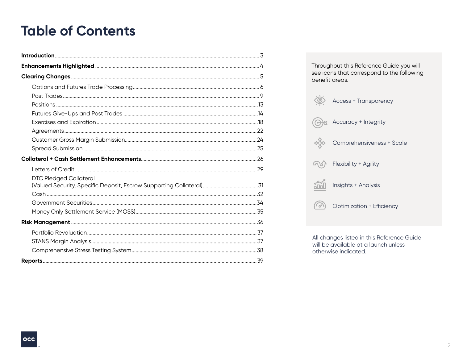# <span id="page-1-0"></span>**Table of Contents**

| <b>DTC Pledged Collateral</b> |  |
|-------------------------------|--|
|                               |  |
|                               |  |
|                               |  |
|                               |  |
|                               |  |
|                               |  |
|                               |  |
|                               |  |

Throughout this Reference Guide you will see icons that correspond to the following benefit areas.



All changes listed in this Reference Guide will be available at a launch unless otherwise indicated.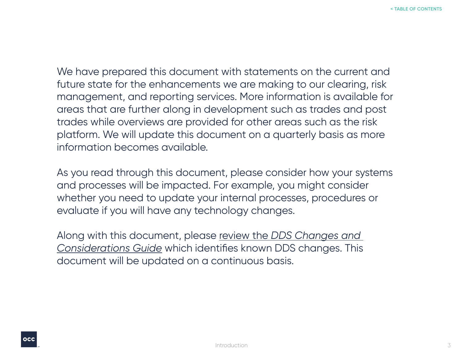<span id="page-2-0"></span>We have prepared this document with statements on the current and future state for the enhancements we are making to our clearing, risk management, and reporting services. More information is available for areas that are further along in development such as trades and post trades while overviews are provided for other areas such as the risk platform. We will update this document on a quarterly basis as more information becomes available.

As you read through this document, please consider how your systems and processes will be impacted. For example, you might consider whether you need to update your internal processes, procedures or evaluate if you will have any technology changes.

Along with this document, please review the *[DDS Changes and](https://www.theocc.com/getmedia/44e3b717-1255-4245-9020-bf208d40076a/OCC-DDS-Changes-Considerations-Guide-101420-FNL.pdf;)  [Considerations Guide](https://www.theocc.com/getmedia/44e3b717-1255-4245-9020-bf208d40076a/OCC-DDS-Changes-Considerations-Guide-101420-FNL.pdf;)* which identifies known DDS changes. This document will be updated on a continuous basis.

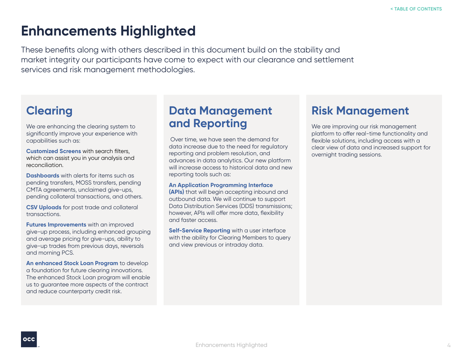# <span id="page-3-0"></span>**Enhancements Highlighted**

These benefits along with others described in this document build on the stability and market integrity our participants have come to expect with our clearance and settlement services and risk management methodologies.

## **Clearing**

We are enhancing the clearing system to significantly improve your experience with capabilities such as:

**Customized Screens** with search filters, which can assist you in your analysis and reconciliation.

**Dashboards** with alerts for items such as pending transfers, MOSS transfers, pending CMTA agreements, unclaimed give-ups, pending collateral transactions, and others.

**CSV Uploads** for post trade and collateral transactions.

**Futures Improvements** with an improved give-up process, including enhanced grouping and average pricing for give-ups, ability to give-up trades from previous days, reversals and morning PCS.

**An enhanced Stock Loan Program** to develop a foundation for future clearing innovations. The enhanced Stock Loan program will enable us to guarantee more aspects of the contract and reduce counterparty credit risk.

## **Data Management and Reporting**

Over time, we have seen the demand for data increase due to the need for regulatory reporting and problem resolution, and advances in data analytics. Our new platform will increase access to historical data and new reporting tools such as:

#### **An Application Programming Interface**

**(APIs)** that will begin accepting inbound and outbound data. We will continue to support Data Distribution Services (DDS) transmissions; however, APIs will offer more data, flexibility and faster access.

**Self-Service Reporting** with a user interface with the ability for Clearing Members to query and view previous or intraday data.

## **Risk Management**

We are improving our risk management platform to offer real-time functionality and flexible solutions, including access with a clear view of data and increased support for overnight trading sessions.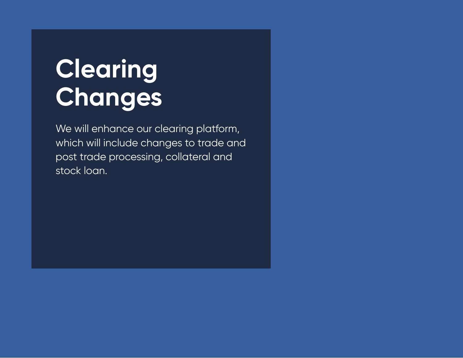# <span id="page-4-0"></span>**Clearing Changes**

We will enhance our clearing platform, which will include changes to trade and post trade processing, collateral and stock loan.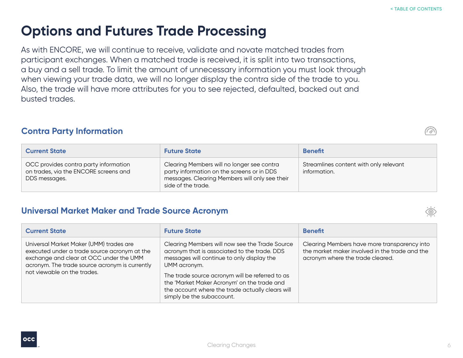# <span id="page-5-0"></span>**Options and Futures Trade Processing**

As with ENCORE, we will continue to receive, validate and novate matched trades from participant exchanges. When a matched trade is received, it is split into two transactions, a buy and a sell trade. To limit the amount of unnecessary information you must look through when viewing your trade data, we will no longer display the contra side of the trade to you. Also, the trade will have more attributes for you to see rejected, defaulted, backed out and busted trades.

#### **Contra Party Information**

| <b>Current State</b>                                                                            | <b>Future State</b>                                                                                                                                              | <b>Benefit</b>                                         |
|-------------------------------------------------------------------------------------------------|------------------------------------------------------------------------------------------------------------------------------------------------------------------|--------------------------------------------------------|
| OCC provides contra party information<br>on trades, via the ENCORE screens and<br>DDS messages. | Clearing Members will no longer see contra<br>party information on the screens or in DDS<br>messages. Clearing Members will only see their<br>side of the trade. | Streamlines content with only relevant<br>information. |

#### **Universal Market Maker and Trade Source Acronym**

| <b>Current State</b>                                                                                                                                                                                                | <b>Future State</b>                                                                                                                                                                                                                                                                                                                             | <b>Benefit</b>                                                                                                                     |
|---------------------------------------------------------------------------------------------------------------------------------------------------------------------------------------------------------------------|-------------------------------------------------------------------------------------------------------------------------------------------------------------------------------------------------------------------------------------------------------------------------------------------------------------------------------------------------|------------------------------------------------------------------------------------------------------------------------------------|
| Universal Market Maker (UMM) trades are<br>executed under a trade source acronym at the<br>exchange and clear at OCC under the UMM<br>acronym. The trade source acronym is currently<br>not viewable on the trades. | Clearing Members will now see the Trade Source<br>acronym that is associated to the trade. DDS<br>messages will continue to only display the<br>UMM acronym.<br>The trade source acronym will be referred to as<br>the 'Market Maker Acronym' on the trade and<br>the account where the trade actually clears will<br>simply be the subaccount. | Clearing Members have more transparency into<br>the market maker involved in the trade and the<br>acronym where the trade cleared. |



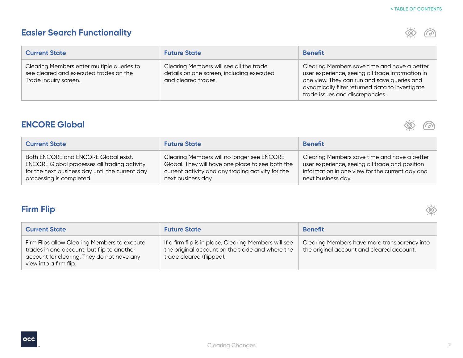## **Easier Search Functionality**

 $\circledcirc$  $\widehat{(\odot)}$ 

| <b>Current State</b>                                                                                          | <b>Future State</b>                                                                                         | <b>Benefit</b>                                                                                                                                                                                                                        |
|---------------------------------------------------------------------------------------------------------------|-------------------------------------------------------------------------------------------------------------|---------------------------------------------------------------------------------------------------------------------------------------------------------------------------------------------------------------------------------------|
| Clearing Members enter multiple queries to<br>see cleared and executed trades on the<br>Trade Inquiry screen. | Clearing Members will see all the trade<br>details on one screen, including executed<br>and cleared trades. | Clearing Members save time and have a better<br>user experience, seeing all trade information in<br>one view. They can run and save queries and<br>dynamically filter returned data to investigate<br>trade issues and discrepancies. |

## **ENCORE Global**



 $\sum_{i=1}^{n} a_i$ 

| <b>Current State</b>                                | <b>Future State</b>                               | <b>Benefit</b>                                  |
|-----------------------------------------------------|---------------------------------------------------|-------------------------------------------------|
| Both ENCORE and ENCORE Global exist.                | Clearing Members will no longer see ENCORE        | Clearing Members save time and have a better    |
| <b>ENCORE Global processes all trading activity</b> | Global. They will have one place to see both the  | user experience, seeing all trade and position  |
| for the next business day until the current day     | current activity and any trading activity for the | information in one view for the current day and |
| processing is completed.                            | next business day.                                | next business day.                              |

## **Firm Flip**

| <b>Current State</b>                                                                                                                                               | <b>Future State</b>                                                                                                                  | <b>Benefit</b>                                                                            |
|--------------------------------------------------------------------------------------------------------------------------------------------------------------------|--------------------------------------------------------------------------------------------------------------------------------------|-------------------------------------------------------------------------------------------|
| Firm Flips allow Clearing Members to execute<br>trades in one account, but flip to another<br>account for clearing. They do not have any<br>view into a firm flip. | If a firm flip is in place, Clearing Members will see<br>the original account on the trade and where the<br>trade cleared (flipped). | Clearing Members have more transparency into<br>the original account and cleared account. |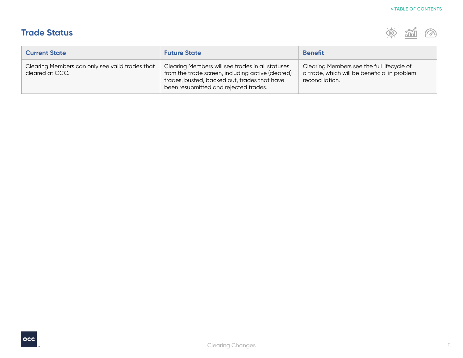## **Trade Status**



| <b>Current State</b>                                               | <b>Future State</b>                                                                                                                                                                            | <b>Benefit</b>                                                                                                |
|--------------------------------------------------------------------|------------------------------------------------------------------------------------------------------------------------------------------------------------------------------------------------|---------------------------------------------------------------------------------------------------------------|
| Clearing Members can only see valid trades that<br>cleared at OCC. | Clearing Members will see trades in all statuses<br>from the trade screen, including active (cleared)<br>trades, busted, backed out, trades that have<br>been resubmitted and rejected trades. | Clearing Members see the full lifecycle of<br>a trade, which will be beneficial in problem<br>reconciliation. |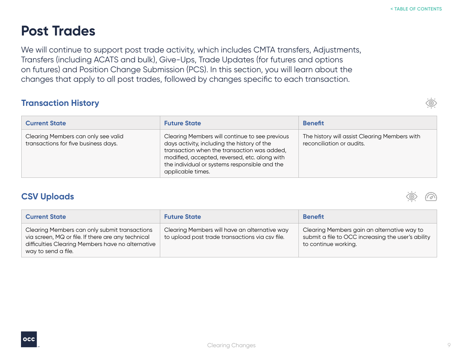# <span id="page-8-0"></span>**Post Trades**

We will continue to support post trade activity, which includes CMTA transfers, Adjustments, Transfers (including ACATS and bulk), Give-Ups, Trade Updates (for futures and options on futures) and Position Change Submission (PCS). In this section, you will learn about the changes that apply to all post trades, followed by changes specific to each transaction.

## **Transaction History**

| <b>Current State</b>                                                        | <b>Future State</b>                                                                                                                                                                                                                                                 | <b>Benefit</b>                                                             |
|-----------------------------------------------------------------------------|---------------------------------------------------------------------------------------------------------------------------------------------------------------------------------------------------------------------------------------------------------------------|----------------------------------------------------------------------------|
| Clearing Members can only see valid<br>transactions for five business days. | Clearing Members will continue to see previous<br>days activity, including the history of the<br>transaction when the transaction was added,<br>modified, accepted, reversed, etc. along with<br>the individual or systems responsible and the<br>applicable times. | The history will assist Clearing Members with<br>reconciliation or audits. |

## **CSV Uploads**

| <b>Current State</b>                                                                                                                                                            | <b>Future State</b>                                                                              | <b>Benefit</b>                                                                                                            |
|---------------------------------------------------------------------------------------------------------------------------------------------------------------------------------|--------------------------------------------------------------------------------------------------|---------------------------------------------------------------------------------------------------------------------------|
| Clearing Members can only submit transactions<br>via screen, MQ or file. If there are any technical<br>difficulties Clearing Members have no alternative<br>way to send a file. | Clearing Members will have an alternative way<br>to upload post trade transactions via csv file. | Clearing Members gain an alternative way to<br>submit a file to OCC increasing the user's ability<br>to continue working. |





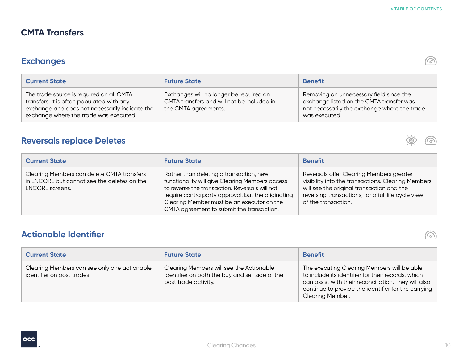یو)

 $\sigma$ 

 $\mathcal{Q}$ 

## **CMTA Transfers**

## **Exchanges**

| <b>Current State</b>                                                                                                                                                              | <b>Future State</b>                                                                                           | <b>Benefit</b>                                                                                                                                       |
|-----------------------------------------------------------------------------------------------------------------------------------------------------------------------------------|---------------------------------------------------------------------------------------------------------------|------------------------------------------------------------------------------------------------------------------------------------------------------|
| The trade source is required on all CMTA<br>transfers. It is often populated with any<br>exchange and does not necessarily indicate the<br>exchange where the trade was executed. | Exchanges will no longer be required on<br>CMTA transfers and will not be included in<br>the CMTA agreements. | Removing an unnecessary field since the<br>exchange listed on the CMTA transfer was<br>not necessarily the exchange where the trade<br>was executed. |

## **Reversals replace Deletes**

| <b>Current State</b>                                                                                                | <b>Future State</b>                                                                                                                                                                                                                                                                           | <b>Benefit</b>                                                                                                                                                                                                           |
|---------------------------------------------------------------------------------------------------------------------|-----------------------------------------------------------------------------------------------------------------------------------------------------------------------------------------------------------------------------------------------------------------------------------------------|--------------------------------------------------------------------------------------------------------------------------------------------------------------------------------------------------------------------------|
| Clearing Members can delete CMTA transfers<br>in ENCORE but cannot see the deletes on the<br><b>ENCORE</b> screens. | Rather than deleting a transaction, new<br>functionality will give Clearing Members access<br>to reverse the transaction. Reversals will not<br>require contra party approval, but the originating<br>Clearing Member must be an executor on the<br>CMTA agreement to submit the transaction. | Reversals offer Clearing Members greater<br>visibility into the transactions. Clearing Members<br>will see the original transaction and the<br>reversing transactions, for a full life cycle view<br>of the transaction. |

## **Actionable Identifier**

| <b>Current State</b>                                                       | <b>Future State</b>                                                                                                 | <b>Benefit</b>                                                                                                                                                                                                                              |
|----------------------------------------------------------------------------|---------------------------------------------------------------------------------------------------------------------|---------------------------------------------------------------------------------------------------------------------------------------------------------------------------------------------------------------------------------------------|
| Clearing Members can see only one actionable<br>identifier on post trades. | Clearing Members will see the Actionable<br>Identifier on both the buy and sell side of the<br>post trade activity. | The executing Clearing Members will be able<br>to include its identifier for their records, which<br>can assist with their reconciliation. They will also<br>continue to provide the identifier for the carrying<br><b>Clearing Member.</b> |

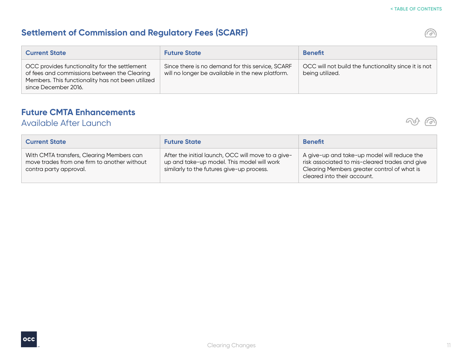$\mathcal{D}$ 

## **Settlement of Commission and Regulatory Fees (SCARF)**

| <b>Current State</b>                                                                                                                                                       | <b>Future State</b>                                                                                  | <b>Benefit</b>                                                          |
|----------------------------------------------------------------------------------------------------------------------------------------------------------------------------|------------------------------------------------------------------------------------------------------|-------------------------------------------------------------------------|
| OCC provides functionality for the settlement<br>of fees and commissions between the Clearing<br>Members. This functionality has not been utilized<br>since December 2016. | Since there is no demand for this service, SCARF<br>will no longer be available in the new platform. | OCC will not build the functionality since it is not<br>being utilized. |

## **Future CMTA Enhancements**

## Available After Launch



| <b>Current State</b>                                                                                                | <b>Future State</b>                                                                                                                           | <b>Benefit</b>                                                                                                                                                              |
|---------------------------------------------------------------------------------------------------------------------|-----------------------------------------------------------------------------------------------------------------------------------------------|-----------------------------------------------------------------------------------------------------------------------------------------------------------------------------|
| With CMTA transfers, Clearing Members can<br>move trades from one firm to another without<br>contra party approval. | After the initial launch, OCC will move to a give-<br>up and take-up model. This model will work<br>similarly to the futures give-up process. | A give-up and take-up model will reduce the<br>risk associated to mis-cleared trades and give<br>Clearing Members greater control of what is<br>cleared into their account. |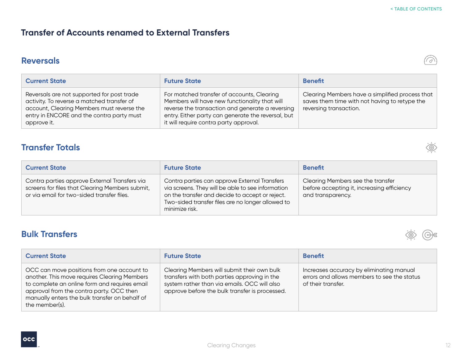#### **Transfer of Accounts renamed to External Transfers**

#### **Reversals**



| <b>Current State</b>                                                                                                                                                                               | <b>Future State</b>                                                                                                                                                                                                                             | <b>Benefit</b>                                                                                                             |
|----------------------------------------------------------------------------------------------------------------------------------------------------------------------------------------------------|-------------------------------------------------------------------------------------------------------------------------------------------------------------------------------------------------------------------------------------------------|----------------------------------------------------------------------------------------------------------------------------|
| Reversals are not supported for post trade<br>activity. To reverse a matched transfer of<br>account, Clearing Members must reverse the<br>entry in ENCORE and the contra party must<br>approve it. | For matched transfer of accounts, Clearing<br>Members will have new functionality that will<br>reverse the transaction and generate a reversing<br>entry. Either party can generate the reversal, but<br>it will require contra party approval. | Clearing Members have a simplified process that<br>saves them time with not having to retype the<br>reversing transaction. |

#### **Transfer Totals**

| <b>Current State</b>                                                                                                                           | <b>Future State</b>                                                                                                                                                                                                          | <b>Benefit</b>                                                                                       |
|------------------------------------------------------------------------------------------------------------------------------------------------|------------------------------------------------------------------------------------------------------------------------------------------------------------------------------------------------------------------------------|------------------------------------------------------------------------------------------------------|
| Contra parties approve External Transfers via<br>screens for files that Clearing Members submit,<br>or via email for two-sided transfer files. | Contra parties can approve External Transfers<br>via screens. They will be able to see information<br>on the transfer and decide to accept or reject.<br>Two-sided transfer files are no longer allowed to<br>minimize risk. | Clearing Members see the transfer<br>before accepting it, increasing efficiency<br>and transparency. |

#### **Bulk Transfers**



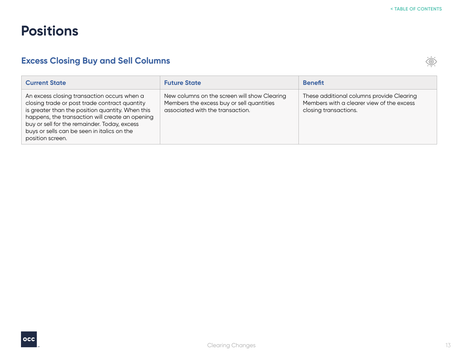## <span id="page-12-0"></span>**Positions**

## **Excess Closing Buy and Sell Columns**

| <b>Current State</b>                                                                                                                                                                                                                                                                                                   | <b>Future State</b>                                                                                                           | <b>Benefit</b>                                                                                                  |
|------------------------------------------------------------------------------------------------------------------------------------------------------------------------------------------------------------------------------------------------------------------------------------------------------------------------|-------------------------------------------------------------------------------------------------------------------------------|-----------------------------------------------------------------------------------------------------------------|
| An excess closing transaction occurs when a<br>closing trade or post trade contract quantity<br>is greater than the position quantity. When this<br>happens, the transaction will create an opening<br>buy or sell for the remainder. Today, excess<br>buys or sells can be seen in italics on the<br>position screen. | New columns on the screen will show Clearing<br>Members the excess buy or sell quantities<br>associated with the transaction. | These additional columns provide Clearing<br>Members with a clearer view of the excess<br>closing transactions. |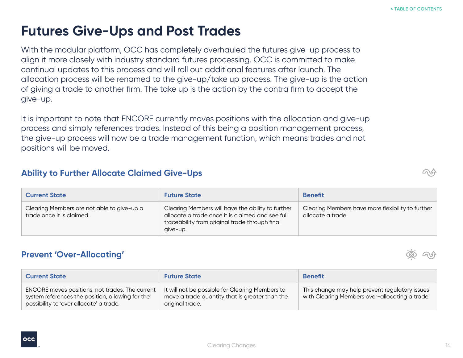# <span id="page-13-0"></span>**Futures Give-Ups and Post Trades**

With the modular platform, OCC has completely overhauled the futures give-up process to align it more closely with industry standard futures processing. OCC is committed to make continual updates to this process and will roll out additional features after launch. The allocation process will be renamed to the give-up/take up process. The give-up is the action of giving a trade to another firm. The take up is the action by the contra firm to accept the give-up.

It is important to note that ENCORE currently moves positions with the allocation and give-up process and simply references trades. Instead of this being a position management process, the give-up process will now be a trade management function, which means trades and not positions will be moved.

#### **Ability to Further Allocate Claimed Give-Ups**

| <b>Current State</b>                                                    | <b>Future State</b>                                                                                                                                                 | <b>Benefit</b>                                                         |
|-------------------------------------------------------------------------|---------------------------------------------------------------------------------------------------------------------------------------------------------------------|------------------------------------------------------------------------|
| Clearing Members are not able to give-up a<br>trade once it is claimed. | Clearing Members will have the ability to further<br>allocate a trade once it is claimed and see full<br>traceability from original trade through final<br>qive-up. | Clearing Members have more flexibility to further<br>allocate a trade. |

#### **Prevent 'Over-Allocating'**

| <b>Current State</b>                                                                                                                           | <b>Future State</b>                                                                                                  | <b>Benefit</b>                                                                                   |
|------------------------------------------------------------------------------------------------------------------------------------------------|----------------------------------------------------------------------------------------------------------------------|--------------------------------------------------------------------------------------------------|
| ENCORE moves positions, not trades. The current<br>system references the position, allowing for the<br>possibility to 'over allocate' a trade. | It will not be possible for Clearing Members to<br>move a trade quantity that is greater than the<br>original trade. | This change may help prevent regulatory issues<br>with Clearing Members over-allocating a trade. |



Clearing Changes



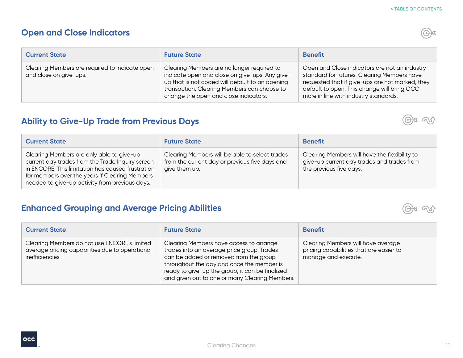## **Open and Close Indicators**

| . .     |  |  |
|---------|--|--|
| w       |  |  |
| ×<br>-- |  |  |

| <b>Current State</b>                                                     | <b>Future State</b>                                                                                                                                                                                                                     | <b>Benefit</b>                                                                                                                                                                                                                          |
|--------------------------------------------------------------------------|-----------------------------------------------------------------------------------------------------------------------------------------------------------------------------------------------------------------------------------------|-----------------------------------------------------------------------------------------------------------------------------------------------------------------------------------------------------------------------------------------|
| Clearing Members are required to indicate open<br>and close on give-ups. | Clearing Members are no longer required to<br>indicate open and close on give-ups. Any give-<br>up that is not coded will default to an opening<br>transaction. Clearing Members can choose to<br>change the open and close indicators. | Open and Close indicators are not an industry<br>standard for futures. Clearing Members have<br>requested that if give-ups are not marked, they<br>default to open. This change will bring OCC<br>more in line with industry standards. |

## **Ability to Give-Up Trade from Previous Days**

| <b>Current State</b>                                                                                                                                                                                                                                   | <b>Future State</b>                                                                                               | <b>Benefit</b>                                                                                                         |
|--------------------------------------------------------------------------------------------------------------------------------------------------------------------------------------------------------------------------------------------------------|-------------------------------------------------------------------------------------------------------------------|------------------------------------------------------------------------------------------------------------------------|
| Clearing Members are only able to give-up<br>current day trades from the Trade Inquiry screen<br>in ENCORE. This limitation has caused frustration<br>for members over the years if Clearing Members<br>needed to give-up activity from previous days. | Clearing Members will be able to select trades<br>from the current day or previous five days and<br>give them up. | Clearing Members will have the flexibility to<br>give-up current day trades and trades from<br>the previous five days. |

## **Enhanced Grouping and Average Pricing Abilities**

| <b>Current State</b>                                                                                               | <b>Future State</b>                                                                                                                                                                                                                                                               | <b>Benefit</b>                                                                                       |
|--------------------------------------------------------------------------------------------------------------------|-----------------------------------------------------------------------------------------------------------------------------------------------------------------------------------------------------------------------------------------------------------------------------------|------------------------------------------------------------------------------------------------------|
| Clearing Members do not use ENCORE's limited<br>average pricing capabilities due to operational<br>inefficiencies. | Clearing Members have access to arrange<br>trades into an average price group. Trades<br>can be added or removed from the group<br>throughout the day and once the member is<br>ready to give-up the group, it can be finalized<br>and given out to one or many Clearing Members. | Clearing Members will have average<br>pricing capabilities that are easier to<br>manage and execute. |



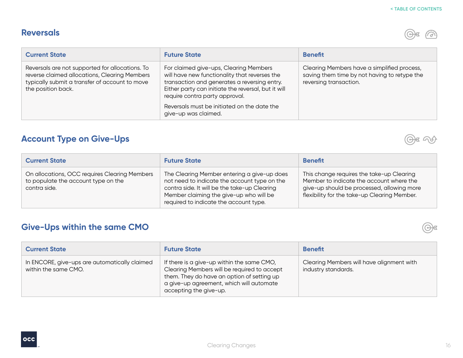## **Reversals**

 $\bigoplus$   $\bigoplus$ 

| <b>Current State</b>                                                                                                                                                     | <b>Future State</b>                                                                                                                                                                                                                                                                                     | <b>Benefit</b>                                                                                                        |
|--------------------------------------------------------------------------------------------------------------------------------------------------------------------------|---------------------------------------------------------------------------------------------------------------------------------------------------------------------------------------------------------------------------------------------------------------------------------------------------------|-----------------------------------------------------------------------------------------------------------------------|
| Reversals are not supported for allocations. To<br>reverse claimed allocations, Clearing Members<br>typically submit a transfer of account to move<br>the position back. | For claimed give-ups, Clearing Members<br>will have new functionality that reverses the<br>transaction and generates a reversing entry.<br>Either party can initiate the reversal, but it will<br>require contra party approval.<br>Reversals must be initiated on the date the<br>give-up was claimed. | Clearing Members have a simplified process,<br>saving them time by not having to retype the<br>reversing transaction. |

## **Account Type on Give-Ups**

| <b>Current State</b>                                                                                 | <b>Future State</b>                                                                                                                                                                                                              | <b>Benefit</b>                                                                                                                                                                      |
|------------------------------------------------------------------------------------------------------|----------------------------------------------------------------------------------------------------------------------------------------------------------------------------------------------------------------------------------|-------------------------------------------------------------------------------------------------------------------------------------------------------------------------------------|
| On allocations, OCC requires Clearing Members<br>to populate the account type on the<br>contra side. | The Clearing Member entering a give-up does<br>not need to indicate the account type on the<br>contra side. It will be the take-up Clearing<br>Member claiming the give-up who will be<br>required to indicate the account type. | This change requires the take-up Clearing<br>Member to indicate the account where the<br>give-up should be processed, allowing more<br>flexibility for the take-up Clearing Member. |

## **Give-Ups within the same CMO**

| <b>Current State</b>                                                  | <b>Future State</b>                                                                                                                                                                                           | <b>Benefit</b>                                                   |
|-----------------------------------------------------------------------|---------------------------------------------------------------------------------------------------------------------------------------------------------------------------------------------------------------|------------------------------------------------------------------|
| In ENCORE, give-ups are automatically claimed<br>within the same CMO. | If there is a give-up within the same CMO,<br>Clearing Members will be required to accept<br>them. They do have an option of setting up<br>a give-up agreement, which will automate<br>accepting the give-up. | Clearing Members will have alignment with<br>industry standards. |

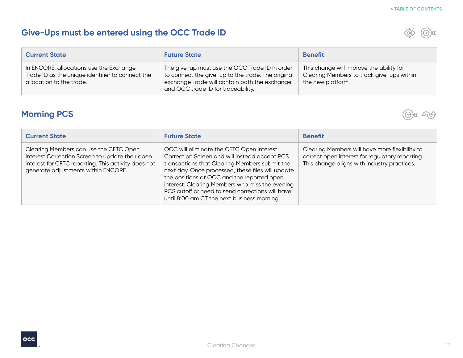## **Give-Ups must be entered using the OCC Trade ID**



| <b>Current State</b>                                                                                                    | <b>Future State</b>                                                                                                                                                                        | <b>Benefit</b>                                                                                             |
|-------------------------------------------------------------------------------------------------------------------------|--------------------------------------------------------------------------------------------------------------------------------------------------------------------------------------------|------------------------------------------------------------------------------------------------------------|
| In ENCORE, allocations use the Exchange<br>Trade ID as the unique identifier to connect the<br>allocation to the trade. | The give-up must use the OCC Trade ID in order<br>to connect the give-up to the trade. The original<br>exchange Trade will contain both the exchange<br>and OCC trade ID for traceability. | This change will improve the ability for<br>Clearing Members to track give-ups within<br>the new platform. |

## **Morning PCS**



| <b>Current State</b>                                                                                                                                                                    | <b>Future State</b>                                                                                                                                                                                                                                                                                                                                                                                  | <b>Benefit</b>                                                                                                                                   |
|-----------------------------------------------------------------------------------------------------------------------------------------------------------------------------------------|------------------------------------------------------------------------------------------------------------------------------------------------------------------------------------------------------------------------------------------------------------------------------------------------------------------------------------------------------------------------------------------------------|--------------------------------------------------------------------------------------------------------------------------------------------------|
| Clearing Members can use the CFTC Open<br>Interest Correction Screen to update their open<br>interest for CFTC reporting. This activity does not<br>generate adjustments within ENCORE. | OCC will eliminate the CFTC Open Interest<br>Correction Screen and will instead accept PCS<br>transactions that Clearing Members submit the<br>next day. Once processed, these files will update<br>the positions at OCC and the reported open<br>interest. Clearing Members who miss the evening<br>PCS cutoff or need to send corrections will have<br>until 8:00 am CT the next business morning. | Clearing Members will have more flexibility to<br>correct open interest for regulatory reporting.<br>This change aligns with industry practices. |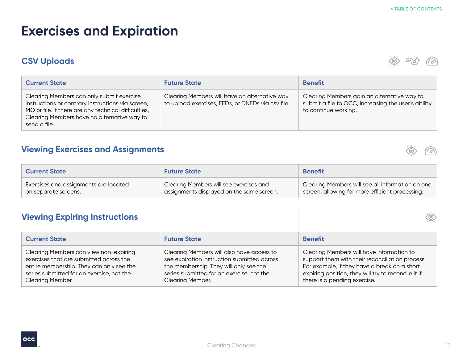# <span id="page-17-0"></span>**Exercises and Expiration**

## **CSV Uploads**

 $\circledcirc$ にしょ

| <b>Current State</b>                                                                                                                                                                                                  | <b>Future State</b>                                                                                | <b>Benefit</b>                                                                                                             |
|-----------------------------------------------------------------------------------------------------------------------------------------------------------------------------------------------------------------------|----------------------------------------------------------------------------------------------------|----------------------------------------------------------------------------------------------------------------------------|
| Clearing Members can only submit exercise<br>instructions or contrary instructions via screen,<br>MQ or file. If there are any technical difficulties,<br>Clearing Members have no alternative way to<br>send a file. | Clearing Members will have an alternative way<br>to upload exercises, EEDs, or DNEDs via csv file. | Clearing Members gain an alternative way to<br>submit a file to OCC, increasing the user's ability<br>to continue working. |

## **Viewing Exercises and Assignments**



 $\bigotimes$ 

| <b>Current State</b>                  | <b>Future State</b>                       | <b>Benefit</b>                                   |
|---------------------------------------|-------------------------------------------|--------------------------------------------------|
| Exercises and assignments are located | Clearing Members will see exercises and   | Clearing Members will see all information on one |
| on separate screens.                  | assignments displayed on the same screen. | screen, allowing for more efficient processing.  |

## **Viewing Expiring Instructions**

| <b>Current State</b>                                                                                                                                                                                  | <b>Future State</b>                                                                                                                                                                                        | <b>Benefit</b>                                                                                                                                                                                                                      |
|-------------------------------------------------------------------------------------------------------------------------------------------------------------------------------------------------------|------------------------------------------------------------------------------------------------------------------------------------------------------------------------------------------------------------|-------------------------------------------------------------------------------------------------------------------------------------------------------------------------------------------------------------------------------------|
| Clearing Members can view non-expiring<br>exercises that are submitted across the<br>entire membership. They can only see the<br>series submitted for an exercise, not the<br><b>Clearing Member.</b> | Clearing Members will also have access to<br>see expiration instruction submitted across<br>the membership. They will only see the<br>series submitted for an exercise, not the<br><b>Clearing Member.</b> | Clearing Members will have information to<br>support them with their reconciliation process.<br>For example, if they have a break on a short<br>expiring position, they will try to reconcile it if<br>there is a pending exercise. |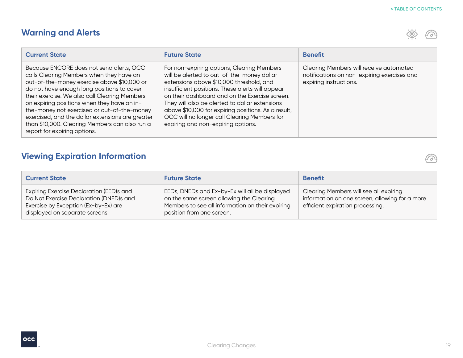## **Warning and Alerts**



 $\widehat{(\mathcal{D})}$ 

| <b>Current State</b>                                                                                                                                                                                                                                                                                                                                                                                                                                                   | <b>Future State</b>                                                                                                                                                                                                                                                                                                                                                                                                                       | <b>Benefit</b>                                                                                                   |
|------------------------------------------------------------------------------------------------------------------------------------------------------------------------------------------------------------------------------------------------------------------------------------------------------------------------------------------------------------------------------------------------------------------------------------------------------------------------|-------------------------------------------------------------------------------------------------------------------------------------------------------------------------------------------------------------------------------------------------------------------------------------------------------------------------------------------------------------------------------------------------------------------------------------------|------------------------------------------------------------------------------------------------------------------|
| Because ENCORE does not send alerts, OCC<br>calls Clearing Members when they have an<br>out-of-the-money exercise above \$10,000 or<br>do not have enough long positions to cover<br>their exercise. We also call Clearing Members<br>on expiring positions when they have an in-<br>the-money not exercised or out-of-the-money<br>exercised, and the dollar extensions are greater<br>than \$10,000. Clearing Members can also run a<br>report for expiring options. | For non-expiring options, Clearing Members<br>will be alerted to out-of-the-money dollar<br>extensions above \$10,000 threshold, and<br>insufficient positions. These alerts will appear<br>on their dashboard and on the Exercise screen.<br>They will also be alerted to dollar extensions<br>above \$10,000 for expiring positions. As a result,<br>OCC will no longer call Clearing Members for<br>expiring and non-expiring options. | Clearing Members will receive automated<br>notifications on non-expiring exercises and<br>expiring instructions. |

## **Viewing Expiration Information**

| <b>Current State</b>                                                                                                                                          | <b>Future State</b>                                                                                                                                                         | <b>Benefit</b>                                                                                                               |
|---------------------------------------------------------------------------------------------------------------------------------------------------------------|-----------------------------------------------------------------------------------------------------------------------------------------------------------------------------|------------------------------------------------------------------------------------------------------------------------------|
| Expiring Exercise Declaration (EED)s and<br>Do Not Exercise Declaration (DNED)s and<br>Exercise by Exception (Ex-by-Ex) are<br>displayed on separate screens. | EEDs, DNEDs and Ex-by-Ex will all be displayed<br>on the same screen allowing the Clearing<br>Members to see all information on their expiring<br>position from one screen. | Clearing Members will see all expiring<br>information on one screen, allowing for a more<br>efficient expiration processing. |

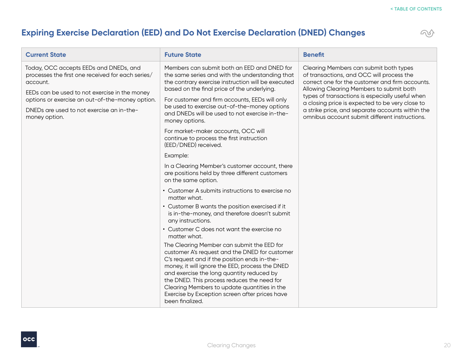## **Expiring Exercise Declaration (EED) and Do Not Exercise Declaration (DNED) Changes**



| <b>Current State</b>                                                                                                                                                                                                                                                      | <b>Future State</b>                                                                                                                                                                                                                                                                                                                                                                                              | <b>Benefit</b>                                                                                                                                                                                                                                                                                                                                                                                 |
|---------------------------------------------------------------------------------------------------------------------------------------------------------------------------------------------------------------------------------------------------------------------------|------------------------------------------------------------------------------------------------------------------------------------------------------------------------------------------------------------------------------------------------------------------------------------------------------------------------------------------------------------------------------------------------------------------|------------------------------------------------------------------------------------------------------------------------------------------------------------------------------------------------------------------------------------------------------------------------------------------------------------------------------------------------------------------------------------------------|
| Today, OCC accepts EEDs and DNEDs, and<br>processes the first one received for each series/<br>account.<br>EEDs can be used to not exercise in the money<br>options or exercise an out-of-the-money option.<br>DNEDs are used to not exercise an in-the-<br>money option. | Members can submit both an EED and DNED for<br>the same series and with the understanding that<br>the contrary exercise instruction will be executed<br>based on the final price of the underlying.<br>For customer and firm accounts, EEDs will only<br>be used to exercise out-of-the-money options<br>and DNEDs will be used to not exercise in-the-<br>money options.                                        | Clearing Members can submit both types<br>of transactions, and OCC will process the<br>correct one for the customer and firm accounts.<br>Allowing Clearing Members to submit both<br>types of transactions is especially useful when<br>a closing price is expected to be very close to<br>a strike price, and separate accounts within the<br>omnibus account submit different instructions. |
|                                                                                                                                                                                                                                                                           | For market-maker accounts, OCC will<br>continue to process the first instruction<br>(EED/DNED) received.                                                                                                                                                                                                                                                                                                         |                                                                                                                                                                                                                                                                                                                                                                                                |
|                                                                                                                                                                                                                                                                           | Example:                                                                                                                                                                                                                                                                                                                                                                                                         |                                                                                                                                                                                                                                                                                                                                                                                                |
|                                                                                                                                                                                                                                                                           | In a Clearing Member's customer account, there<br>are positions held by three different customers<br>on the same option.                                                                                                                                                                                                                                                                                         |                                                                                                                                                                                                                                                                                                                                                                                                |
|                                                                                                                                                                                                                                                                           | • Customer A submits instructions to exercise no<br>matter what.                                                                                                                                                                                                                                                                                                                                                 |                                                                                                                                                                                                                                                                                                                                                                                                |
|                                                                                                                                                                                                                                                                           | • Customer B wants the position exercised if it<br>is in-the-money, and therefore doesn't submit<br>any instructions.                                                                                                                                                                                                                                                                                            |                                                                                                                                                                                                                                                                                                                                                                                                |
|                                                                                                                                                                                                                                                                           | • Customer C does not want the exercise no<br>matter what.                                                                                                                                                                                                                                                                                                                                                       |                                                                                                                                                                                                                                                                                                                                                                                                |
|                                                                                                                                                                                                                                                                           | The Clearing Member can submit the EED for<br>customer A's request and the DNED for customer<br>C's request and if the position ends in-the-<br>money, it will ignore the EED, process the DNED<br>and exercise the long quantity reduced by<br>the DNED. This process reduces the need for<br>Clearing Members to update quantities in the<br>Exercise by Exception screen after prices have<br>been finalized. |                                                                                                                                                                                                                                                                                                                                                                                                |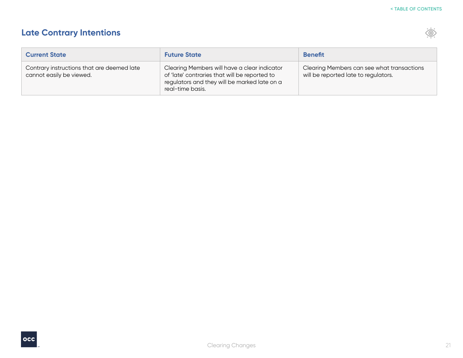## **Late Contrary Intentions**

| <b>Current State</b>                                                   | <b>Future State</b>                                                                                                                                               | <b>Benefit</b>                                                                     |
|------------------------------------------------------------------------|-------------------------------------------------------------------------------------------------------------------------------------------------------------------|------------------------------------------------------------------------------------|
| Contrary instructions that are deemed late<br>cannot easily be viewed. | Clearing Members will have a clear indicator<br>of 'late' contraries that will be reported to<br>regulators and they will be marked late on a<br>real-time basis. | Clearing Members can see what transactions<br>will be reported late to regulators. |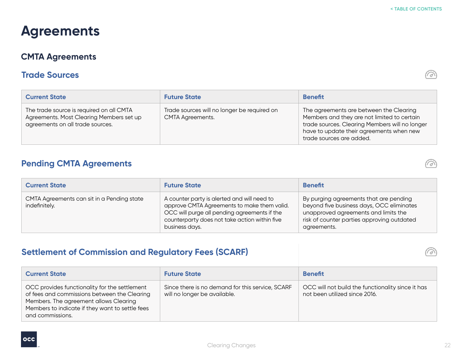# <span id="page-21-0"></span>**Agreements**

## **CMTA Agreements**

### **Trade Sources**

| <b>Current State</b>                                                                                                     | <b>Future State</b>                                                    | <b>Benefit</b>                                                                                                                                                                                                   |
|--------------------------------------------------------------------------------------------------------------------------|------------------------------------------------------------------------|------------------------------------------------------------------------------------------------------------------------------------------------------------------------------------------------------------------|
| The trade source is required on all CMTA<br>Agreements. Most Clearing Members set up<br>agreements on all trade sources. | Trade sources will no longer be required on<br><b>CMTA Agreements.</b> | The agreements are between the Clearing<br>Members and they are not limited to certain<br>trade sources. Clearing Members will no longer<br>have to update their agreements when new<br>trade sources are added. |

## **Pending CMTA Agreements**

| <b>Current State</b>                                        | <b>Future State</b>                                                                                                                                                                                           | <b>Benefit</b>                                                                                                                                                                           |
|-------------------------------------------------------------|---------------------------------------------------------------------------------------------------------------------------------------------------------------------------------------------------------------|------------------------------------------------------------------------------------------------------------------------------------------------------------------------------------------|
| CMTA Agreements can sit in a Pending state<br>indefinitely. | A counter party is alerted and will need to<br>approve CMTA Agreements to make them valid.<br>OCC will purge all pending agreements if the<br>counterparty does not take action within five<br>business days. | By purging agreements that are pending<br>beyond five business days, OCC eliminates<br>unapproved agreements and limits the<br>risk of counter parties approving outdated<br>agreements. |

## **Settlement of Commission and Regulatory Fees (SCARF)**

| <b>Current State</b>                                                                                                                                                                                           | <b>Future State</b>                                                              | <b>Benefit</b>                                                                     |
|----------------------------------------------------------------------------------------------------------------------------------------------------------------------------------------------------------------|----------------------------------------------------------------------------------|------------------------------------------------------------------------------------|
| OCC provides functionality for the settlement<br>of fees and commissions between the Clearing<br>Members. The agreement allows Clearing<br>Members to indicate if they want to settle fees<br>and commissions. | Since there is no demand for this service, SCARF<br>will no longer be available. | OCC will not build the functionality since it has<br>not been utilized since 2016. |







**B** 

ふ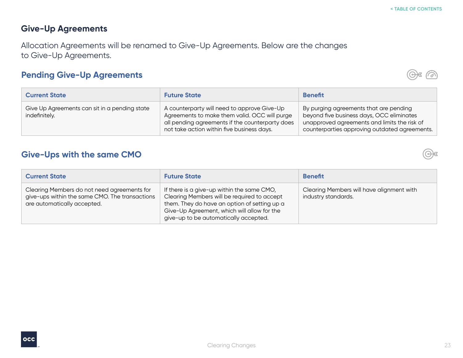#### **Give-Up Agreements**

Allocation Agreements will be renamed to Give-Up Agreements. Below are the changes to Give-Up Agreements.

## **Pending Give-Up Agreements**



| <b>Current State</b>                                           | <b>Future State</b>                                                                                                                                                                           | <b>Benefit</b>                                                                                                                                                                       |
|----------------------------------------------------------------|-----------------------------------------------------------------------------------------------------------------------------------------------------------------------------------------------|--------------------------------------------------------------------------------------------------------------------------------------------------------------------------------------|
| Give Up Agreements can sit in a pending state<br>indefinitely. | A counterparty will need to approve Give-Up<br>Agreements to make them valid. OCC will purge<br>all pending agreements if the counterparty does<br>not take action within five business days. | By purging agreements that are pending<br>beyond five business days, OCC eliminates<br>unapproved agreements and limits the risk of<br>counterparties approving outdated agreements. |

## **Give-Ups with the same CMO**

| <b>Current State</b>                                                                                                         | <b>Future State</b>                                                                                                                                                                                                               | <b>Benefit</b>                                                   |
|------------------------------------------------------------------------------------------------------------------------------|-----------------------------------------------------------------------------------------------------------------------------------------------------------------------------------------------------------------------------------|------------------------------------------------------------------|
| Clearing Members do not need agreements for<br>give-ups within the same CMO. The transactions<br>are automatically accepted. | If there is a give-up within the same CMO,<br>Clearing Members will be required to accept<br>them. They do have an option of setting up a<br>Give-Up Agreement, which will allow for the<br>give-up to be automatically accepted. | Clearing Members will have alignment with<br>industry standards. |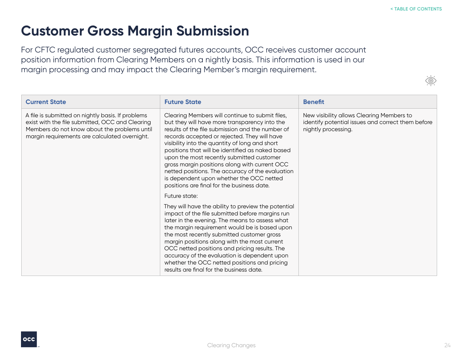## <span id="page-23-0"></span>**Customer Gross Margin Submission**

For CFTC regulated customer segregated futures accounts, OCC receives customer account position information from Clearing Members on a nightly basis. This information is used in our margin processing and may impact the Clearing Member's margin requirement.

| <b>Current State</b>                                                                                                                                                                                  | <b>Future State</b>                                                                                                                                                                                                                                                                                                                                                                                                                                                                                                                                    | <b>Benefit</b>                                                                                                        |
|-------------------------------------------------------------------------------------------------------------------------------------------------------------------------------------------------------|--------------------------------------------------------------------------------------------------------------------------------------------------------------------------------------------------------------------------------------------------------------------------------------------------------------------------------------------------------------------------------------------------------------------------------------------------------------------------------------------------------------------------------------------------------|-----------------------------------------------------------------------------------------------------------------------|
| A file is submitted on nightly basis. If problems<br>exist with the file submitted, OCC and Clearing<br>Members do not know about the problems until<br>margin requirements are calculated overnight. | Clearing Members will continue to submit files,<br>but they will have more transparency into the<br>results of the file submission and the number of<br>records accepted or rejected. They will have<br>visibility into the quantity of long and short<br>positions that will be identified as naked based<br>upon the most recently submitted customer<br>gross margin positions along with current OCC<br>netted positions. The accuracy of the evaluation<br>is dependent upon whether the OCC netted<br>positions are final for the business date. | New visibility allows Clearing Members to<br>identify potential issues and correct them before<br>nightly processing. |
|                                                                                                                                                                                                       | Future state:                                                                                                                                                                                                                                                                                                                                                                                                                                                                                                                                          |                                                                                                                       |
|                                                                                                                                                                                                       | They will have the ability to preview the potential<br>impact of the file submitted before margins run<br>later in the evening. The means to assess what<br>the margin requirement would be is based upon<br>the most recently submitted customer gross<br>margin positions along with the most current<br>OCC netted positions and pricing results. The<br>accuracy of the evaluation is dependent upon<br>whether the OCC netted positions and pricing<br>results are final for the business date.                                                   |                                                                                                                       |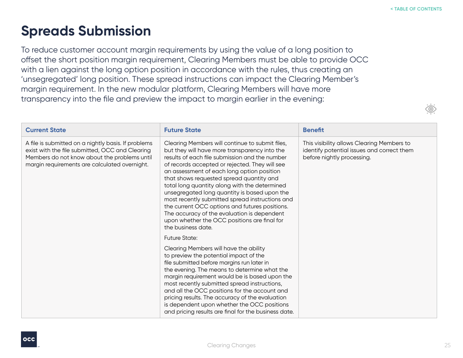# <span id="page-24-0"></span>**Spreads Submission**

To reduce customer account margin requirements by using the value of a long position to offset the short position margin requirement, Clearing Members must be able to provide OCC with a lien against the long option position in accordance with the rules, thus creating an 'unsegregated' long position. These spread instructions can impact the Clearing Member's margin requirement. In the new modular platform, Clearing Members will have more transparency into the file and preview the impact to margin earlier in the evening:

| <b>Current State</b>                                                                                                                                                                                    | <b>Future State</b>                                                                                                                                                                                                                                                                                                                                                                                                                                                                                                                                                                                                       | <b>Benefit</b>                                                                                                         |
|---------------------------------------------------------------------------------------------------------------------------------------------------------------------------------------------------------|---------------------------------------------------------------------------------------------------------------------------------------------------------------------------------------------------------------------------------------------------------------------------------------------------------------------------------------------------------------------------------------------------------------------------------------------------------------------------------------------------------------------------------------------------------------------------------------------------------------------------|------------------------------------------------------------------------------------------------------------------------|
| A file is submitted on a nightly basis. If problems<br>exist with the file submitted, OCC and Clearing<br>Members do not know about the problems until<br>margin requirements are calculated overnight. | Clearing Members will continue to submit files,<br>but they will have more transparency into the<br>results of each file submission and the number<br>of records accepted or rejected. They will see<br>an assessment of each long option position<br>that shows requested spread quantity and<br>total long quantity along with the determined<br>unsegregated long quantity is based upon the<br>most recently submitted spread instructions and<br>the current OCC options and futures positions.<br>The accuracy of the evaluation is dependent<br>upon whether the OCC positions are final for<br>the business date. | This visibility allows Clearing Members to<br>identify potential issues and correct them<br>before nightly processing. |
|                                                                                                                                                                                                         | <b>Future State:</b>                                                                                                                                                                                                                                                                                                                                                                                                                                                                                                                                                                                                      |                                                                                                                        |
|                                                                                                                                                                                                         | Clearing Members will have the ability<br>to preview the potential impact of the<br>file submitted before margins run later in<br>the evening. The means to determine what the<br>margin requirement would be is based upon the<br>most recently submitted spread instructions,<br>and all the OCC positions for the account and<br>pricing results. The accuracy of the evaluation<br>is dependent upon whether the OCC positions<br>and pricing results are final for the business date.                                                                                                                                |                                                                                                                        |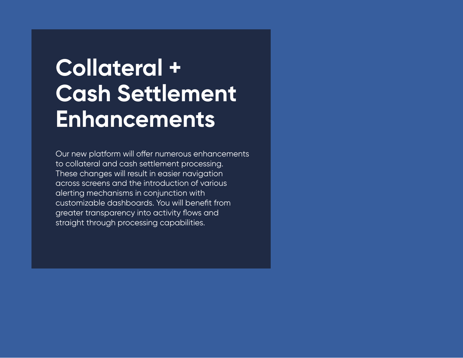# <span id="page-25-0"></span>**Collateral + Cash Settlement Enhancements**

Our new platform will offer numerous enhancements to collateral and cash settlement processing. These changes will result in easier navigation across screens and the introduction of various alerting mechanisms in conjunction with customizable dashboards. You will benefit from greater transparency into activity flows and straight through processing capabilities.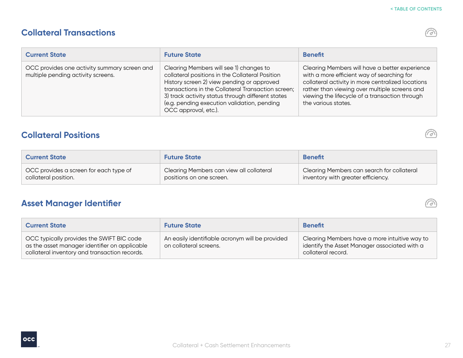$\mathcal{Q},$ 

め

ron

## **Collateral Transactions**

| <b>Current State</b>                                                               | <b>Future State</b>                                                                                                                                                                                                                                                                                                        | <b>Benefit</b>                                                                                                                                                                                                                                                              |
|------------------------------------------------------------------------------------|----------------------------------------------------------------------------------------------------------------------------------------------------------------------------------------------------------------------------------------------------------------------------------------------------------------------------|-----------------------------------------------------------------------------------------------------------------------------------------------------------------------------------------------------------------------------------------------------------------------------|
| OCC provides one activity summary screen and<br>multiple pending activity screens. | Clearing Members will see 1) changes to<br>collateral positions in the Collateral Position<br>History screen 2) view pending or approved<br>transactions in the Collateral Transaction screen;<br>3) track activity status through different states<br>(e.g. pending execution validation, pending<br>OCC approval, etc.). | Clearing Members will have a better experience<br>with a more efficient way of searching for<br>collateral activity in more centralized locations<br>rather than viewing over multiple screens and<br>viewing the lifecycle of a transaction through<br>the various states. |

## **Collateral Positions**

| <b>Current State</b>                   | <b>Future State</b>                      | <b>Benefit</b>                             |
|----------------------------------------|------------------------------------------|--------------------------------------------|
| OCC provides a screen for each type of | Clearing Members can view all collateral | Clearing Members can search for collateral |
| collateral position.                   | positions on one screen.                 | inventory with greater efficiency.         |

## **Asset Manager Identifier**

| <b>Current State</b>                                                                                                                        | <b>Future State</b>                                                       | <b>Benefit</b>                                                                                                      |
|---------------------------------------------------------------------------------------------------------------------------------------------|---------------------------------------------------------------------------|---------------------------------------------------------------------------------------------------------------------|
| OCC typically provides the SWIFT BIC code<br>as the asset manager identifier on applicable<br>collateral inventory and transaction records. | An easily identifiable acronym will be provided<br>on collateral screens. | Clearing Members have a more intuitive way to<br>identify the Asset Manager associated with a<br>collateral record. |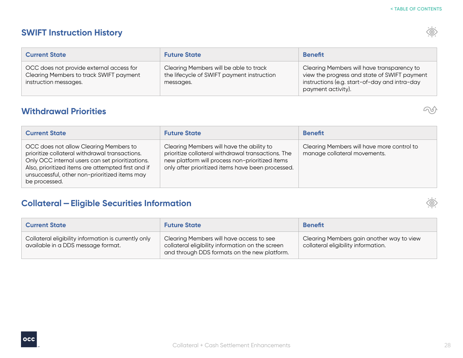| <b>Current State</b>                                                                                         | <b>Future State</b>                                                                               | <b>Benefit</b>                                                                                                                                                    |
|--------------------------------------------------------------------------------------------------------------|---------------------------------------------------------------------------------------------------|-------------------------------------------------------------------------------------------------------------------------------------------------------------------|
| OCC does not provide external access for<br>Clearing Members to track SWIFT payment<br>instruction messages. | Clearing Members will be able to track<br>the lifecycle of SWIFT payment instruction<br>messages. | Clearing Members will have transparency to<br>view the progress and state of SWIFT payment<br>instructions (e.g. start-of-day and intra-day<br>payment activity). |

## **Withdrawal Priorities**

| <b>Current State</b>                                                                                                                                                                                                                                                 | <b>Future State</b>                                                                                                                                                                                     | <b>Benefit</b>                                                             |
|----------------------------------------------------------------------------------------------------------------------------------------------------------------------------------------------------------------------------------------------------------------------|---------------------------------------------------------------------------------------------------------------------------------------------------------------------------------------------------------|----------------------------------------------------------------------------|
| OCC does not allow Clearing Members to<br>prioritize collateral withdrawal transactions.<br>Only OCC internal users can set prioritizations.<br>Also, prioritized items are attempted first and if<br>unsuccessful, other non-prioritized items may<br>be processed. | Clearing Members will have the ability to<br>prioritize collateral withdrawal transactions. The<br>new platform will process non-prioritized items<br>only after prioritized items have been processed. | Clearing Members will have more control to<br>manage collateral movements. |

## **Collateral —Eligible Securities Information**

| <b>Current State</b>                                                                       | <b>Future State</b>                                                                                                                          | <b>Benefit</b>                                                                   |
|--------------------------------------------------------------------------------------------|----------------------------------------------------------------------------------------------------------------------------------------------|----------------------------------------------------------------------------------|
| Collateral eligibility information is currently only<br>available in a DDS message format. | Clearing Members will have access to see<br>collateral eligibility information on the screen<br>and through DDS formats on the new platform. | Clearing Members gain another way to view<br>collateral eligibility information. |









 $\infty$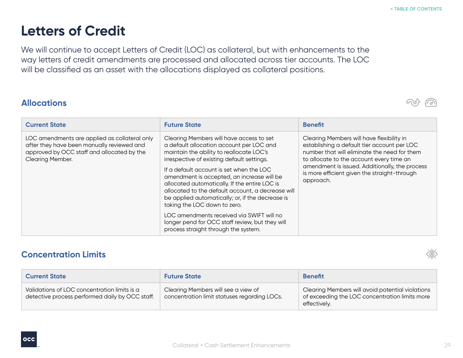# <span id="page-28-0"></span>**Letters of Credit**

We will continue to accept Letters of Credit (LOC) as collateral, but with enhancements to the way letters of credit amendments are processed and allocated across tier accounts. The LOC will be classified as an asset with the allocations displayed as collateral positions.

#### **Allocations**

| <b>Current State</b>                                                                                                                                          | <b>Future State</b>                                                                                                                                                                                                                                                                                                                                                                                                                                                                                                                                                                                        | <b>Benefit</b>                                                                                                                                                                                                                                                                                      |
|---------------------------------------------------------------------------------------------------------------------------------------------------------------|------------------------------------------------------------------------------------------------------------------------------------------------------------------------------------------------------------------------------------------------------------------------------------------------------------------------------------------------------------------------------------------------------------------------------------------------------------------------------------------------------------------------------------------------------------------------------------------------------------|-----------------------------------------------------------------------------------------------------------------------------------------------------------------------------------------------------------------------------------------------------------------------------------------------------|
| LOC amendments are applied as collateral only<br>after they have been manually reviewed and<br>approved by OCC staff and allocated by the<br>Clearing Member. | Clearing Members will have access to set<br>a default allocation account per LOC and<br>maintain the ability to reallocate LOC's<br>irrespective of existing default settings.<br>If a default account is set when the LOC<br>amendment is accepted, an increase will be<br>allocated automatically. If the entire LOC is<br>allocated to the default account, a decrease will<br>be applied automatically; or, if the decrease is<br>taking the LOC down to zero.<br>LOC amendments received via SWIFT will no<br>longer pend for OCC staff review, but they will<br>process straight through the system. | Clearing Members will have flexibility in<br>establishing a default tier account per LOC<br>number that will eliminate the need for them<br>to allocate to the account every time an<br>amendment is issued. Additionally, the process<br>is more efficient given the straight-through<br>approach. |

### **Concentration Limits**

| <b>Current State</b>                                                                            | <b>Future State</b>                                                                 | <b>Benefit</b>                                                                                                     |
|-------------------------------------------------------------------------------------------------|-------------------------------------------------------------------------------------|--------------------------------------------------------------------------------------------------------------------|
| Validations of LOC concentration limits is a<br>detective process performed daily by OCC staff. | Clearing Members will see a view of<br>concentration limit statuses regarding LOCs. | Clearing Members will avoid potential violations<br>of exceeding the LOC concentration limits more<br>effectively. |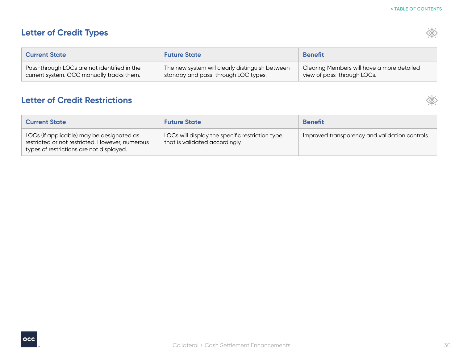$\circledcirc$ 

 $\circledcirc$ 

## **Letter of Credit Types**

| <b>Current State</b>                        | <b>Future State</b>                             | <b>Benefit</b>                             |
|---------------------------------------------|-------------------------------------------------|--------------------------------------------|
| Pass-through LOCs are not identified in the | The new system will clearly distinguish between | Clearing Members will have a more detailed |
| current system. OCC manually tracks them.   | standby and pass-through LOC types.             | view of pass-through LOCs.                 |

#### **Letter of Credit Restrictions**

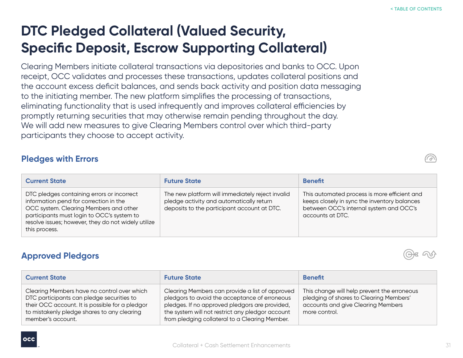# <span id="page-30-0"></span>**DTC Pledged Collateral (Valued Security, Specific Deposit, Escrow Supporting Collateral)**

Clearing Members initiate collateral transactions via depositories and banks to OCC. Upon receipt, OCC validates and processes these transactions, updates collateral positions and the account excess deficit balances, and sends back activity and position data messaging to the initiating member. The new platform simplifies the processing of transactions, eliminating functionality that is used infrequently and improves collateral efficiencies by promptly returning securities that may otherwise remain pending throughout the day. We will add new measures to give Clearing Members control over which third-party participants they choose to accept activity.

### **Pledges with Errors**

| <b>Current State</b>                                                                                                                                                                                                                                 | <b>Future State</b>                                                                                                                         | <b>Benefit</b>                                                                                                                                              |
|------------------------------------------------------------------------------------------------------------------------------------------------------------------------------------------------------------------------------------------------------|---------------------------------------------------------------------------------------------------------------------------------------------|-------------------------------------------------------------------------------------------------------------------------------------------------------------|
| DTC pledges containing errors or incorrect<br>information pend for correction in the<br>OCC system. Clearing Members and other<br>participants must login to OCC's system to<br>resolve issues; however, they do not widely utilize<br>this process. | The new platform will immediately reject invalid<br>pledge activity and automatically return<br>deposits to the participant account at DTC. | This automated process is more efficient and<br>keeps closely in sync the inventory balances<br>between OCC's internal system and OCC's<br>accounts at DTC. |

## **Approved Pledgors**

| <b>Current State</b>                                                                                                                                                                                            | <b>Future State</b>                                                                                                                                                                                                                                      | <b>Benefit</b>                                                                                                                                |
|-----------------------------------------------------------------------------------------------------------------------------------------------------------------------------------------------------------------|----------------------------------------------------------------------------------------------------------------------------------------------------------------------------------------------------------------------------------------------------------|-----------------------------------------------------------------------------------------------------------------------------------------------|
| Clearing Members have no control over which<br>DTC participants can pledge securities to<br>their OCC account. It is possible for a pledgor<br>to mistakenly pledge shares to any clearing<br>member's account. | Clearing Members can provide a list of approved<br>pledgors to avoid the acceptance of erroneous<br>pledges. If no approved pledgors are provided,<br>the system will not restrict any pledgor account<br>from pledging collateral to a Clearing Member. | This change will help prevent the erroneous<br>pledging of shares to Clearing Members'<br>accounts and give Clearing Members<br>more control. |





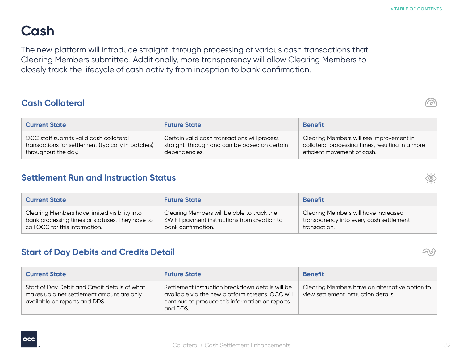# <span id="page-31-0"></span>**Cash**

The new platform will introduce straight-through processing of various cash transactions that Clearing Members submitted. Additionally, more transparency will allow Clearing Members to closely track the lifecycle of cash activity from inception to bank confirmation.

## **Cash Collateral**

| <b>Current State</b>                               | <b>Future State</b>                          | <b>Benefit</b>                                   |
|----------------------------------------------------|----------------------------------------------|--------------------------------------------------|
| OCC staff submits valid cash collateral            | Certain valid cash transactions will process | Clearing Members will see improvement in         |
| transactions for settlement (typically in batches) | straight-through and can be based on certain | collateral processing times, resulting in a more |
| throughout the day.                                | dependencies.                                | efficient movement of cash.                      |

## **Settlement Run and Instruction Status**

| <b>Current State</b>                            | <b>Future State</b>                         | <b>Benefit</b>                          |
|-------------------------------------------------|---------------------------------------------|-----------------------------------------|
| Clearing Members have limited visibility into   | Clearing Members will be able to track the  | Clearing Members will have increased    |
| bank processing times or statuses. They have to | SWIFT payment instructions from creation to | transparency into every cash settlement |
| call OCC for this information.                  | bank confirmation.                          | transaction.                            |

### **Start of Day Debits and Credits Detail**

| <b>Current State</b>                                                                                                        | <b>Future State</b>                                                                                                                                                 | <b>Benefit</b>                                                                         |
|-----------------------------------------------------------------------------------------------------------------------------|---------------------------------------------------------------------------------------------------------------------------------------------------------------------|----------------------------------------------------------------------------------------|
| Start of Day Debit and Credit details of what<br>makes up a net settlement amount are only<br>available on reports and DDS. | Settlement instruction breakdown details will be<br>available via the new platform screens. OCC will<br>continue to produce this information on reports<br>and DDS. | Clearing Members have an alternative option to<br>view settlement instruction details. |

Collateral + Cash Settlement Enhancements







لرق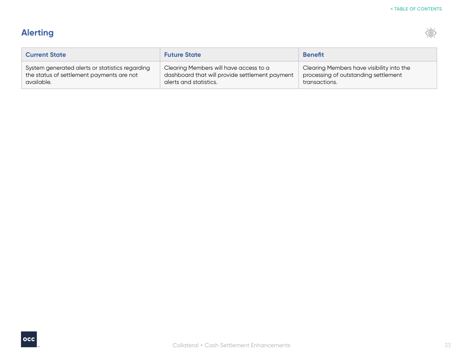$\langle \hat{\odot}$ 

## **Alerting**

Г

| <b>Current State</b>                                                                                       | <b>Future State</b>                                                                                                | <b>Benefit</b>                                                                                     |
|------------------------------------------------------------------------------------------------------------|--------------------------------------------------------------------------------------------------------------------|----------------------------------------------------------------------------------------------------|
| System generated alerts or statistics regarding<br>the status of settlement payments are not<br>available. | Clearing Members will have access to a<br>dashboard that will provide settlement payment<br>alerts and statistics. | Clearing Members have visibility into the<br>processing of outstanding settlement<br>transactions. |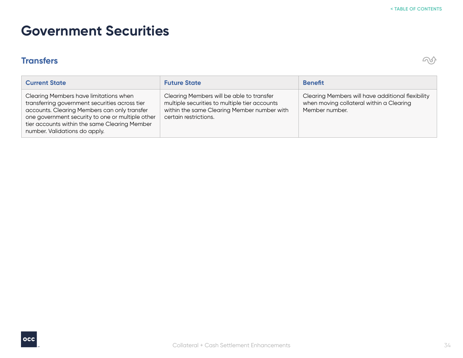## <span id="page-33-0"></span>**Government Securities**

## **Transfers**



| <b>Current State</b>                                                                                                                                                                                                                                                           | <b>Future State</b>                                                                                                                                                | <b>Benefit</b>                                                                                                  |
|--------------------------------------------------------------------------------------------------------------------------------------------------------------------------------------------------------------------------------------------------------------------------------|--------------------------------------------------------------------------------------------------------------------------------------------------------------------|-----------------------------------------------------------------------------------------------------------------|
| Clearing Members have limitations when<br>transferring government securities across tier<br>accounts. Clearing Members can only transfer<br>one government security to one or multiple other<br>tier accounts within the same Clearing Member<br>number. Validations do apply. | Clearing Members will be able to transfer<br>multiple securities to multiple tier accounts<br>within the same Clearing Member number with<br>certain restrictions. | Clearing Members will have additional flexibility<br>when moving collateral within a Clearing<br>Member number. |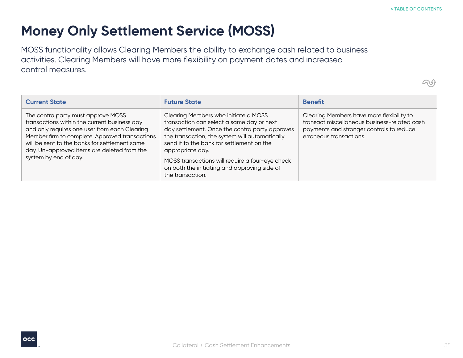$\bigcirc$ 

# <span id="page-34-0"></span>**Money Only Settlement Service (MOSS)**

MOSS functionality allows Clearing Members the ability to exchange cash related to business activities. Clearing Members will have more flexibility on payment dates and increased control measures.

| <b>Current State</b>                                                                                                                                                                                                                                                                                           | <b>Future State</b>                                                                                                                                                                                                                                                                                                                                                           | <b>Benefit</b>                                                                                                                                                   |
|----------------------------------------------------------------------------------------------------------------------------------------------------------------------------------------------------------------------------------------------------------------------------------------------------------------|-------------------------------------------------------------------------------------------------------------------------------------------------------------------------------------------------------------------------------------------------------------------------------------------------------------------------------------------------------------------------------|------------------------------------------------------------------------------------------------------------------------------------------------------------------|
| The contra party must approve MOSS<br>transactions within the current business day<br>and only requires one user from each Clearing<br>Member firm to complete. Approved transactions<br>will be sent to the banks for settlement same<br>day. Un-approved items are deleted from the<br>system by end of day. | Clearing Members who initiate a MOSS<br>transaction can select a same day or next<br>day settlement. Once the contra party approves<br>the transaction, the system will automatically<br>send it to the bank for settlement on the<br>appropriate day.<br>MOSS transactions will require a four-eye check<br>on both the initiating and approving side of<br>the transaction. | Clearing Members have more flexibility to<br>transact miscellaneous business-related cash<br>payments and stronger controls to reduce<br>erroneous transactions. |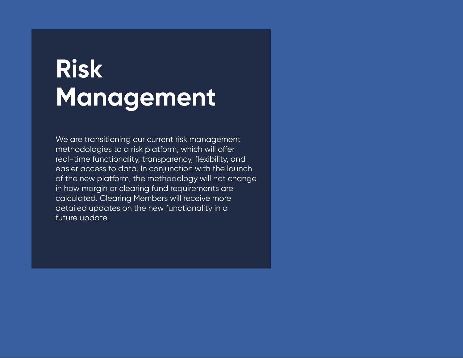# <span id="page-35-0"></span>**Risk Management**

We are transitioning our current risk management methodologies to a risk platform, which will offer real-time functionality, transparency, flexibility, and easier access to data. In conjunction with the launch of the new platform, the methodology will not change in how margin or clearing fund requirements are calculated. Clearing Members will receive more detailed updates on the new functionality in a future update.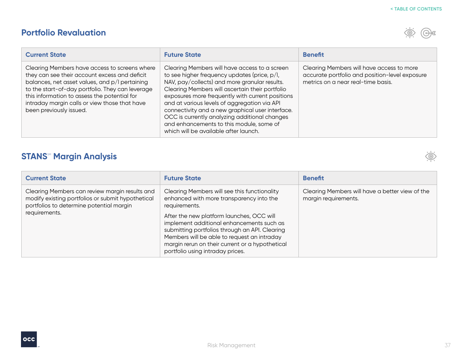## <span id="page-36-0"></span>**Portfolio Revaluation**



| <b>Current State</b>                                                                                                                                                                                                                                                                                                             | <b>Future State</b>                                                                                                                                                                                                                                                                                                                                                                                                                                                                             | <b>Benefit</b>                                                                                                                    |
|----------------------------------------------------------------------------------------------------------------------------------------------------------------------------------------------------------------------------------------------------------------------------------------------------------------------------------|-------------------------------------------------------------------------------------------------------------------------------------------------------------------------------------------------------------------------------------------------------------------------------------------------------------------------------------------------------------------------------------------------------------------------------------------------------------------------------------------------|-----------------------------------------------------------------------------------------------------------------------------------|
| Clearing Members have access to screens where<br>they can see their account excess and deficit<br>balances, net asset values, and p/l pertaining<br>to the start-of-day portfolio. They can leverage<br>this information to assess the potential for<br>intraday margin calls or view those that have<br>been previously issued. | Clearing Members will have access to a screen<br>to see higher frequency updates (price, p/l,<br>NAV, pay/collects) and more granular results.<br>Clearing Members will ascertain their portfolio<br>exposures more frequently with current positions<br>and at various levels of aggregation via API<br>connectivity and a new graphical user interface.<br>OCC is currently analyzing additional changes<br>and enhancements to this module, some of<br>which will be available after launch. | Clearing Members will have access to more<br>accurate portfolio and position-level exposure<br>metrics on a near real-time basis. |

## **STANS<sup>®</sup> Margin Analysis**

| <b>Current State</b>                                                                                                                                             | <b>Future State</b>                                                                                                                                                                                                                                                                                                                                                                         | <b>Benefit</b>                                                          |
|------------------------------------------------------------------------------------------------------------------------------------------------------------------|---------------------------------------------------------------------------------------------------------------------------------------------------------------------------------------------------------------------------------------------------------------------------------------------------------------------------------------------------------------------------------------------|-------------------------------------------------------------------------|
| Clearing Members can review margin results and<br>modify existing portfolios or submit hypothetical<br>portfolios to determine potential margin<br>requirements. | Clearing Members will see this functionality<br>enhanced with more transparency into the<br>requirements.<br>After the new platform launches, OCC will<br>implement additional enhancements such as<br>submitting portfolios through an API. Clearing<br>Members will be able to request an intraday<br>margin rerun on their current or a hypothetical<br>portfolio using intraday prices. | Clearing Members will have a better view of the<br>margin requirements. |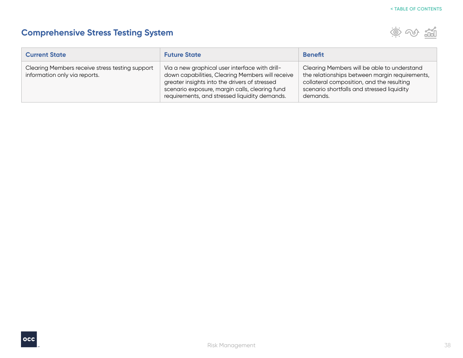## <span id="page-37-0"></span>**Comprehensive Stress Testing System**



| <b>Current State</b>                                                             | <b>Future State</b>                                                                                                                                                                                                                                    | <b>Benefit</b>                                                                                                                                                                                       |
|----------------------------------------------------------------------------------|--------------------------------------------------------------------------------------------------------------------------------------------------------------------------------------------------------------------------------------------------------|------------------------------------------------------------------------------------------------------------------------------------------------------------------------------------------------------|
| Clearing Members receive stress testing support<br>information only via reports. | Via a new graphical user interface with drill-<br>down capabilities, Clearing Members will receive<br>greater insights into the drivers of stressed<br>scenario exposure, margin calls, clearing fund<br>requirements, and stressed liquidity demands. | Clearing Members will be able to understand<br>the relationships between margin requirements,<br>collateral composition, and the resulting<br>scenario shortfalls and stressed liquidity<br>demands. |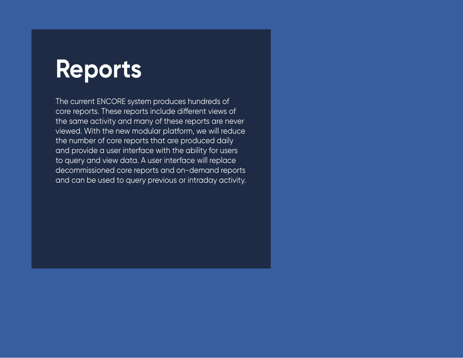# <span id="page-38-0"></span>**Reports**

The current ENCORE system produces hundreds of core reports. These reports include different views of the same activity and many of these reports are never viewed. With the new modular platform, we will reduce the number of core reports that are produced daily and provide a user interface with the ability for users to query and view data. A user interface will replace decommissioned core reports and on-demand reports and can be used to query previous or intraday activity.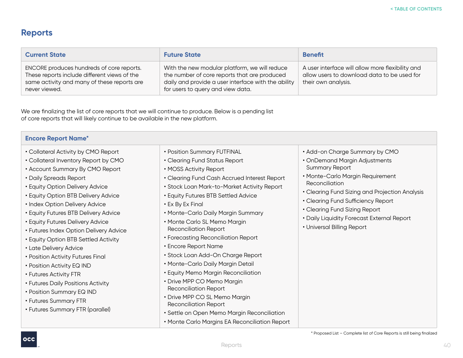## **Reports**

| <b>Current State</b>                                                                                                                                      | <b>Future State</b>                                                                                                                                                                       | <b>Benefit</b>                                                                                                         |
|-----------------------------------------------------------------------------------------------------------------------------------------------------------|-------------------------------------------------------------------------------------------------------------------------------------------------------------------------------------------|------------------------------------------------------------------------------------------------------------------------|
| ENCORE produces hundreds of core reports.<br>These reports include different views of the<br>same activity and many of these reports are<br>never viewed. | With the new modular platform, we will reduce<br>the number of core reports that are produced<br>daily and provide a user interface with the ability<br>for users to query and view data. | A user interface will allow more flexibility and<br>allow users to download data to be used for<br>their own analysis. |

We are finalizing the list of core reports that we will continue to produce. Below is a pending list of core reports that will likely continue to be available in the new platform.

| <b>Encore Report Name*</b>                                                                                                                                                                                                                                                                                                                                   |                                                                                                                                                                                                                                                                                                                                                                                                                                              |                                                                                                                                                                                                                                                                                                                       |
|--------------------------------------------------------------------------------------------------------------------------------------------------------------------------------------------------------------------------------------------------------------------------------------------------------------------------------------------------------------|----------------------------------------------------------------------------------------------------------------------------------------------------------------------------------------------------------------------------------------------------------------------------------------------------------------------------------------------------------------------------------------------------------------------------------------------|-----------------------------------------------------------------------------------------------------------------------------------------------------------------------------------------------------------------------------------------------------------------------------------------------------------------------|
| • Collateral Activity by CMO Report<br>• Collateral Inventory Report by CMO<br>• Account Summary By CMO Report<br>• Daily Spreads Report<br><b>- Equity Option Delivery Advice</b><br><b>- Equity Option BTB Delivery Advice</b><br>• Index Option Delivery Advice<br><b>- Equity Futures BTB Delivery Advice</b><br><b>- Equity Futures Delivery Advice</b> | • Position Summary FUTFINAL<br>• Clearing Fund Status Report<br>• MOSS Activity Report<br>• Clearing Fund Cash Accrued Interest Report<br>• Stock Loan Mark-to-Market Activity Report<br>• Equity Futures BTB Settled Advice<br>• Ex By Ex Final<br>• Monte-Carlo Daily Margin Summary<br>· Monte Carlo SL Memo Margin                                                                                                                       | • Add-on Charge Summary by CMO<br>• OnDemand Margin Adjustments<br><b>Summary Report</b><br>· Monte-Carlo Margin Requirement<br>Reconciliation<br>• Clearing Fund Sizing and Projection Analysis<br>• Clearing Fund Sufficiency Report<br>• Clearing Fund Sizing Report<br>• Daily Liquidity Forecast External Report |
| • Futures Index Option Delivery Advice<br>· Equity Option BTB Settled Activity<br>• Late Delivery Advice<br>• Position Activity Futures Final<br>• Position Activity EQ IND<br>• Futures Activity FTR<br>• Futures Daily Positions Activity<br>• Position Summary EQ IND<br>• Futures Summary FTR<br>• Futures Summary FTR (parallel)                        | <b>Reconciliation Report</b><br>• Forecasting Reconciliation Report<br>• Encore Report Name<br>· Stock Loan Add-On Charge Report<br>· Monte-Carlo Daily Margin Detail<br>• Equity Memo Margin Reconciliation<br>· Drive MPP CO Memo Margin<br><b>Reconciliation Report</b><br>· Drive MPP CO SL Memo Margin<br><b>Reconciliation Report</b><br>· Settle on Open Memo Margin Reconciliation<br>• Monte Carlo Margins EA Reconciliation Report | · Universal Billing Report                                                                                                                                                                                                                                                                                            |

\* Proposed List – Complete list of Core Reports is still being finalized